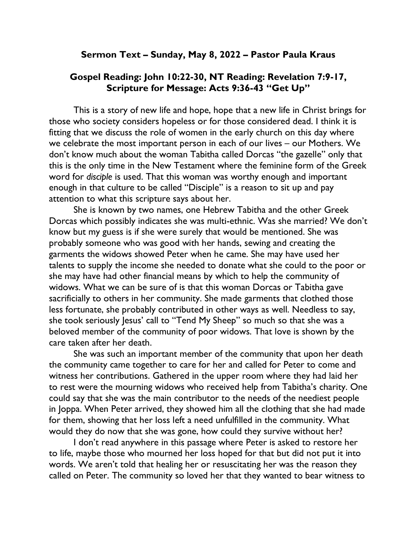## Sermon Text – Sunday, May 8, 2022 – Pastor Paula Kraus

## Gospel Reading: John 10:22-30, NT Reading: Revelation 7:9-17, Scripture for Message: Acts 9:36-43 "Get Up"

This is a story of new life and hope, hope that a new life in Christ brings for those who society considers hopeless or for those considered dead. I think it is fitting that we discuss the role of women in the early church on this day where we celebrate the most important person in each of our lives – our Mothers. We don't know much about the woman Tabitha called Dorcas "the gazelle" only that this is the only time in the New Testament where the feminine form of the Greek word for disciple is used. That this woman was worthy enough and important enough in that culture to be called "Disciple" is a reason to sit up and pay attention to what this scripture says about her.

She is known by two names, one Hebrew Tabitha and the other Greek Dorcas which possibly indicates she was multi-ethnic. Was she married? We don't know but my guess is if she were surely that would be mentioned. She was probably someone who was good with her hands, sewing and creating the garments the widows showed Peter when he came. She may have used her talents to supply the income she needed to donate what she could to the poor or she may have had other financial means by which to help the community of widows. What we can be sure of is that this woman Dorcas or Tabitha gave sacrificially to others in her community. She made garments that clothed those less fortunate, she probably contributed in other ways as well. Needless to say, she took seriously Jesus' call to "Tend My Sheep" so much so that she was a beloved member of the community of poor widows. That love is shown by the care taken after her death.

She was such an important member of the community that upon her death the community came together to care for her and called for Peter to come and witness her contributions. Gathered in the upper room where they had laid her to rest were the mourning widows who received help from Tabitha's charity. One could say that she was the main contributor to the needs of the neediest people in Joppa. When Peter arrived, they showed him all the clothing that she had made for them, showing that her loss left a need unfulfilled in the community. What would they do now that she was gone, how could they survive without her?

I don't read anywhere in this passage where Peter is asked to restore her to life, maybe those who mourned her loss hoped for that but did not put it into words. We aren't told that healing her or resuscitating her was the reason they called on Peter. The community so loved her that they wanted to bear witness to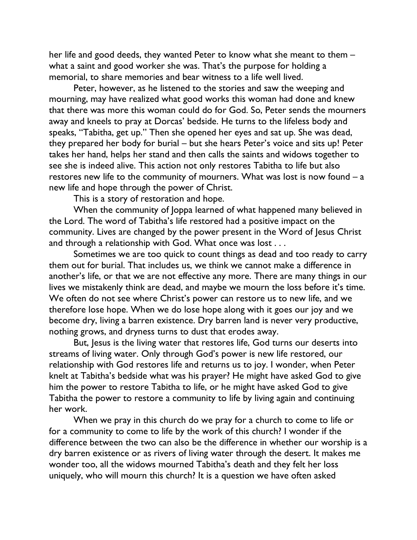her life and good deeds, they wanted Peter to know what she meant to them – what a saint and good worker she was. That's the purpose for holding a memorial, to share memories and bear witness to a life well lived.

Peter, however, as he listened to the stories and saw the weeping and mourning, may have realized what good works this woman had done and knew that there was more this woman could do for God. So, Peter sends the mourners away and kneels to pray at Dorcas' bedside. He turns to the lifeless body and speaks, "Tabitha, get up." Then she opened her eyes and sat up. She was dead, they prepared her body for burial – but she hears Peter's voice and sits up! Peter takes her hand, helps her stand and then calls the saints and widows together to see she is indeed alive. This action not only restores Tabitha to life but also restores new life to the community of mourners. What was lost is now found – a new life and hope through the power of Christ.

This is a story of restoration and hope.

When the community of Joppa learned of what happened many believed in the Lord. The word of Tabitha's life restored had a positive impact on the community. Lives are changed by the power present in the Word of Jesus Christ and through a relationship with God. What once was lost . . .

Sometimes we are too quick to count things as dead and too ready to carry them out for burial. That includes us, we think we cannot make a difference in another's life, or that we are not effective any more. There are many things in our lives we mistakenly think are dead, and maybe we mourn the loss before it's time. We often do not see where Christ's power can restore us to new life, and we therefore lose hope. When we do lose hope along with it goes our joy and we become dry, living a barren existence. Dry barren land is never very productive, nothing grows, and dryness turns to dust that erodes away.

But, Jesus is the living water that restores life, God turns our deserts into streams of living water. Only through God's power is new life restored, our relationship with God restores life and returns us to joy. I wonder, when Peter knelt at Tabitha's bedside what was his prayer? He might have asked God to give him the power to restore Tabitha to life, or he might have asked God to give Tabitha the power to restore a community to life by living again and continuing her work.

When we pray in this church do we pray for a church to come to life or for a community to come to life by the work of this church? I wonder if the difference between the two can also be the difference in whether our worship is a dry barren existence or as rivers of living water through the desert. It makes me wonder too, all the widows mourned Tabitha's death and they felt her loss uniquely, who will mourn this church? It is a question we have often asked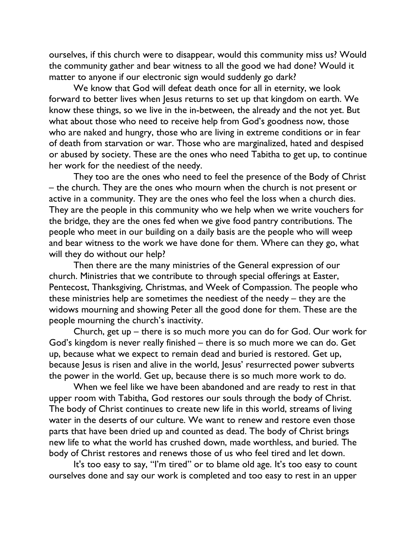ourselves, if this church were to disappear, would this community miss us? Would the community gather and bear witness to all the good we had done? Would it matter to anyone if our electronic sign would suddenly go dark?

We know that God will defeat death once for all in eternity, we look forward to better lives when Jesus returns to set up that kingdom on earth. We know these things, so we live in the in-between, the already and the not yet. But what about those who need to receive help from God's goodness now, those who are naked and hungry, those who are living in extreme conditions or in fear of death from starvation or war. Those who are marginalized, hated and despised or abused by society. These are the ones who need Tabitha to get up, to continue her work for the neediest of the needy.

They too are the ones who need to feel the presence of the Body of Christ – the church. They are the ones who mourn when the church is not present or active in a community. They are the ones who feel the loss when a church dies. They are the people in this community who we help when we write vouchers for the bridge, they are the ones fed when we give food pantry contributions. The people who meet in our building on a daily basis are the people who will weep and bear witness to the work we have done for them. Where can they go, what will they do without our help?

Then there are the many ministries of the General expression of our church. Ministries that we contribute to through special offerings at Easter, Pentecost, Thanksgiving, Christmas, and Week of Compassion. The people who these ministries help are sometimes the neediest of the needy – they are the widows mourning and showing Peter all the good done for them. These are the people mourning the church's inactivity.

Church, get up – there is so much more you can do for God. Our work for God's kingdom is never really finished – there is so much more we can do. Get up, because what we expect to remain dead and buried is restored. Get up, because Jesus is risen and alive in the world, Jesus' resurrected power subverts the power in the world. Get up, because there is so much more work to do.

When we feel like we have been abandoned and are ready to rest in that upper room with Tabitha, God restores our souls through the body of Christ. The body of Christ continues to create new life in this world, streams of living water in the deserts of our culture. We want to renew and restore even those parts that have been dried up and counted as dead. The body of Christ brings new life to what the world has crushed down, made worthless, and buried. The body of Christ restores and renews those of us who feel tired and let down.

It's too easy to say, "I'm tired" or to blame old age. It's too easy to count ourselves done and say our work is completed and too easy to rest in an upper